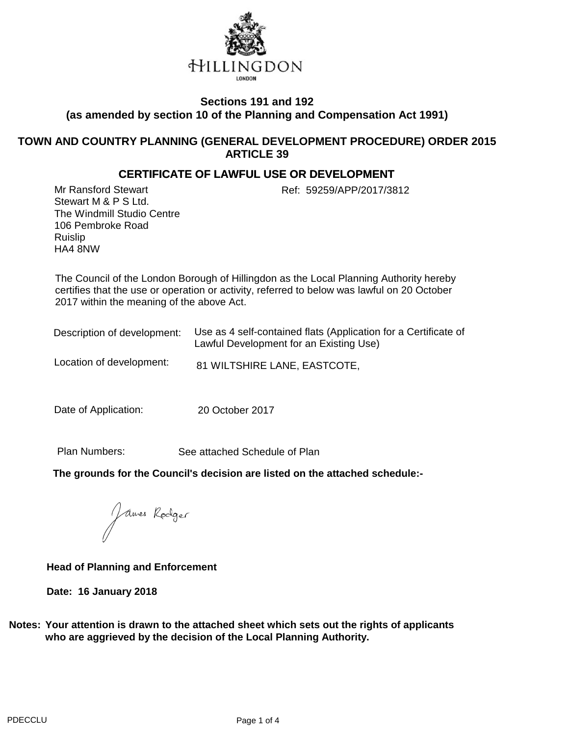

## **Sections 191 and 192 (as amended by section 10 of the Planning and Compensation Act 1991)**

### **TOWN AND COUNTRY PLANNING (GENERAL DEVELOPMENT PROCEDURE) ORDER 2015 ARTICLE 39**

### **CERTIFICATE OF LAWFUL USE OR DEVELOPMENT**

Mr Ransford Stewart Ref: 59259/APP/2017/3812 Stewart M & P S Ltd. The Windmill Studio Centre 106 Pembroke Road Ruislip HA4 8NW

The Council of the London Borough of Hillingdon as the Local Planning Authority hereby certifies that the use or operation or activity, referred to below was lawful on 20 October 2017 within the meaning of the above Act.

| Description of development: | Use as 4 self-contained flats (Application for a Certificate of<br>Lawful Development for an Existing Use) |
|-----------------------------|------------------------------------------------------------------------------------------------------------|
| Location of development:    | 81 WILTSHIRE LANE, EASTCOTE,                                                                               |

Date of Application: 20 October 2017

Plan Numbers:

See attached Schedule of Plan

**The grounds for the Council's decision are listed on the attached schedule:-**

James Rodger

**Head of Planning and Enforcement**

**Date: 16 January 2018**

**Notes: Your attention is drawn to the attached sheet which sets out the rights of applicants who are aggrieved by the decision of the Local Planning Authority.**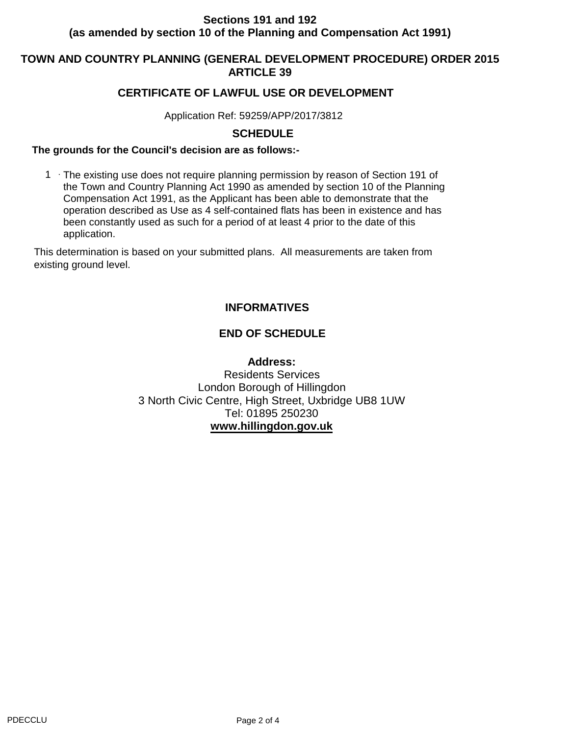# **Sections 191 and 192 (as amended by section 10 of the Planning and Compensation Act 1991)**

## **TOWN AND COUNTRY PLANNING (GENERAL DEVELOPMENT PROCEDURE) ORDER 2015 ARTICLE 39**

## **CERTIFICATE OF LAWFUL USE OR DEVELOPMENT**

Application Ref: 59259/APP/2017/3812

### **SCHEDULE**

#### **The grounds for the Council's decision are as follows:-**

1 The existing use does not require planning permission by reason of Section 191 of the Town and Country Planning Act 1990 as amended by section 10 of the Planning Compensation Act 1991, as the Applicant has been able to demonstrate that the operation described as Use as 4 self-contained flats has been in existence and has been constantly used as such for a period of at least 4 prior to the date of this application.

This determination is based on your submitted plans. All measurements are taken from existing ground level.

# **INFORMATIVES**

# **END OF SCHEDULE**

**Address:** Residents Services London Borough of Hillingdon 3 North Civic Centre, High Street, Uxbridge UB8 1UW Tel: 01895 250230 **www.hillingdon.gov.uk**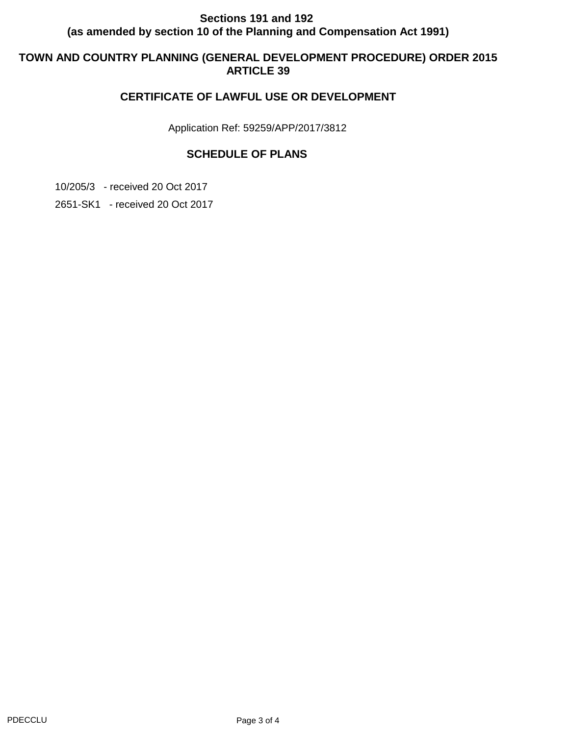# **Sections 191 and 192 (as amended by section 10 of the Planning and Compensation Act 1991)**

# **TOWN AND COUNTRY PLANNING (GENERAL DEVELOPMENT PROCEDURE) ORDER 2015 ARTICLE 39**

# **CERTIFICATE OF LAWFUL USE OR DEVELOPMENT**

Application Ref: 59259/APP/2017/3812

# **SCHEDULE OF PLANS**

10/205/3 - received 20 Oct 2017

2651-SK1 - received 20 Oct 2017